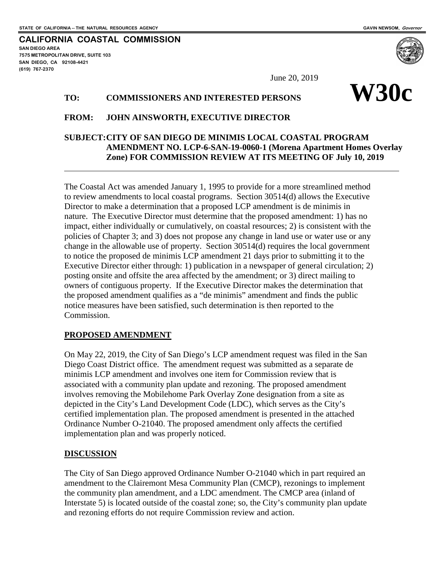**SAN DIEGO AREA**

**(619) 767-2370**

**7575 METROPOLITAN DRIVE, SUITE 103 SAN DIEGO, CA 92108-4421**

 $\overline{a}$ 

**CALIFORNIA COASTAL COMMISSION**

# TO: COMMISSIONERS AND INTERESTED PERSONS WISH

#### **FROM: JOHN AINSWORTH, EXECUTIVE DIRECTOR**

# **SUBJECT:CITY OF SAN DIEGO DE MINIMIS LOCAL COASTAL PROGRAM AMENDMENT NO. LCP-6-SAN-19-0060-1 (Morena Apartment Homes Overlay Zone) FOR COMMISSION REVIEW AT ITS MEETING OF July 10, 2019**

The Coastal Act was amended January 1, 1995 to provide for a more streamlined method to review amendments to local coastal programs. Section 30514(d) allows the Executive Director to make a determination that a proposed LCP amendment is de minimis in nature. The Executive Director must determine that the proposed amendment: 1) has no impact, either individually or cumulatively, on coastal resources; 2) is consistent with the policies of Chapter 3; and 3) does not propose any change in land use or water use or any change in the allowable use of property. Section 30514(d) requires the local government to notice the proposed de minimis LCP amendment 21 days prior to submitting it to the Executive Director either through: 1) publication in a newspaper of general circulation; 2) posting onsite and offsite the area affected by the amendment; or 3) direct mailing to owners of contiguous property. If the Executive Director makes the determination that the proposed amendment qualifies as a "de minimis" amendment and finds the public notice measures have been satisfied, such determination is then reported to the Commission.

### **PROPOSED AMENDMENT**

On May 22, 2019, the City of San Diego's LCP amendment request was filed in the San Diego Coast District office. The amendment request was submitted as a separate de minimis LCP amendment and involves one item for Commission review that is associated with a community plan update and rezoning. The proposed amendment involves removing the Mobilehome Park Overlay Zone designation from a site as depicted in the City's Land Development Code (LDC), which serves as the City's certified implementation plan. The proposed amendment is presented in the attached Ordinance Number O-21040. The proposed amendment only affects the certified implementation plan and was properly noticed.

### **DISCUSSION**

The City of San Diego approved Ordinance Number O-21040 which in part required an amendment to the Clairemont Mesa Community Plan (CMCP), rezonings to implement the community plan amendment, and a LDC amendment. The CMCP area (inland of Interstate 5) is located outside of the coastal zone; so, the City's community plan update and rezoning efforts do not require Commission review and action.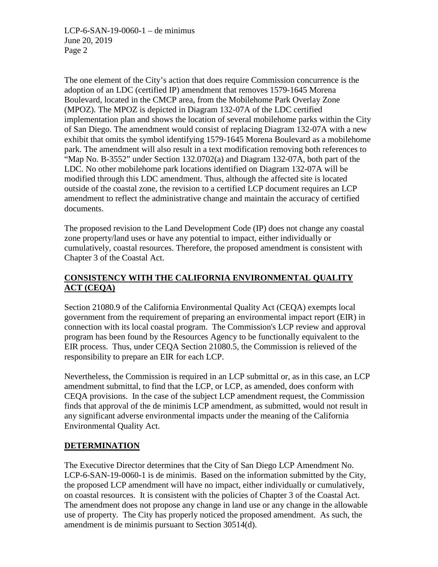LCP-6-SAN-19-0060-1 – de minimus June 20, 2019 Page 2

The one element of the City's action that does require Commission concurrence is the adoption of an LDC (certified IP) amendment that removes 1579-1645 Morena Boulevard, located in the CMCP area, from the Mobilehome Park Overlay Zone (MPOZ). The MPOZ is depicted in Diagram 132-07A of the LDC certified implementation plan and shows the location of several mobilehome parks within the City of San Diego. The amendment would consist of replacing Diagram 132-07A with a new exhibit that omits the symbol identifying 1579-1645 Morena Boulevard as a mobilehome park. The amendment will also result in a text modification removing both references to "Map No. B-3552" under Section 132.0702(a) and Diagram 132-07A, both part of the LDC. No other mobilehome park locations identified on Diagram 132-07A will be modified through this LDC amendment. Thus, although the affected site is located outside of the coastal zone, the revision to a certified LCP document requires an LCP amendment to reflect the administrative change and maintain the accuracy of certified documents.

The proposed revision to the Land Development Code (IP) does not change any coastal zone property/land uses or have any potential to impact, either individually or cumulatively, coastal resources. Therefore, the proposed amendment is consistent with Chapter 3 of the Coastal Act.

# **CONSISTENCY WITH THE CALIFORNIA ENVIRONMENTAL QUALITY ACT (CEQA)**

Section 21080.9 of the California Environmental Quality Act (CEQA) exempts local government from the requirement of preparing an environmental impact report (EIR) in connection with its local coastal program. The Commission's LCP review and approval program has been found by the Resources Agency to be functionally equivalent to the EIR process. Thus, under CEQA Section 21080.5, the Commission is relieved of the responsibility to prepare an EIR for each LCP.

Nevertheless, the Commission is required in an LCP submittal or, as in this case, an LCP amendment submittal, to find that the LCP, or LCP, as amended, does conform with CEQA provisions. In the case of the subject LCP amendment request, the Commission finds that approval of the de minimis LCP amendment, as submitted, would not result in any significant adverse environmental impacts under the meaning of the California Environmental Quality Act.

# **DETERMINATION**

The Executive Director determines that the City of San Diego LCP Amendment No. LCP-6-SAN-19-0060-1 is de minimis. Based on the information submitted by the City, the proposed LCP amendment will have no impact, either individually or cumulatively, on coastal resources. It is consistent with the policies of Chapter 3 of the Coastal Act. The amendment does not propose any change in land use or any change in the allowable use of property. The City has properly noticed the proposed amendment. As such, the amendment is de minimis pursuant to Section 30514(d).